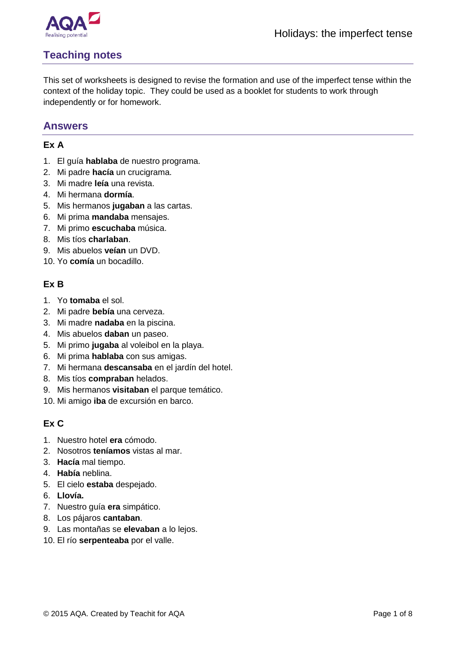

# **Teaching notes**

This set of worksheets is designed to revise the formation and use of the imperfect tense within the context of the holiday topic. They could be used as a booklet for students to work through independently or for homework.

### **Answers**

#### **Ex A**

- 1. El guía **hablaba** de nuestro programa.
- 2. Mi padre **hacía** un crucigrama.
- 3. Mi madre **leía** una revista.
- 4. Mi hermana **dormía**.
- 5. Mis hermanos **jugaban** a las cartas.
- 6. Mi prima **mandaba** mensajes.
- 7. Mi primo **escuchaba** música.
- 8. Mis tíos **charlaban**.
- 9. Mis abuelos **veían** un DVD.
- 10. Yo **comía** un bocadillo.

#### **Ex B**

- 1. Yo **tomaba** el sol.
- 2. Mi padre **bebía** una cerveza.
- 3. Mi madre **nadaba** en la piscina.
- 4. Mis abuelos **daban** un paseo.
- 5. Mi primo **jugaba** al voleibol en la playa.
- 6. Mi prima **hablaba** con sus amigas.
- 7. Mi hermana **descansaba** en el jardín del hotel.
- 8. Mis tíos **compraban** helados.
- 9. Mis hermanos **visitaban** el parque temático.
- 10. Mi amigo **iba** de excursión en barco.

### **Ex C**

- 1. Nuestro hotel **era** cómodo.
- 2. Nosotros **teníamos** vistas al mar.
- 3. **Hacía** mal tiempo.
- 4. **Había** neblina.
- 5. El cielo **estaba** despejado.
- 6. **Llovía.**
- 7. Nuestro guía **era** simpático.
- 8. Los pájaros **cantaban**.
- 9. Las montañas se **elevaban** a lo lejos.
- 10. El río **serpenteaba** por el valle.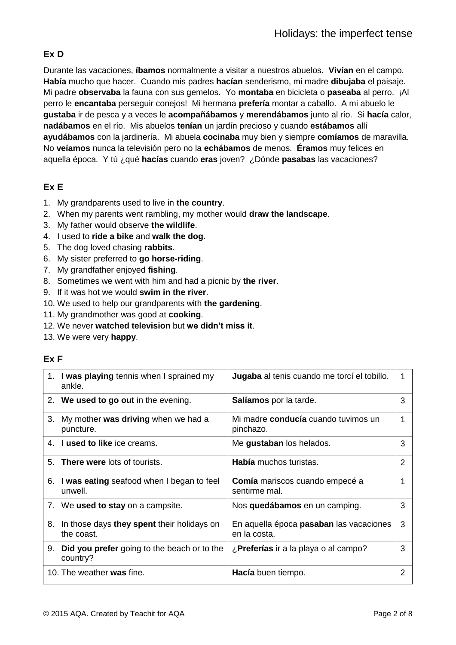## **Ex D**

Durante las vacaciones, **íbamos** normalmente a visitar a nuestros abuelos. **Vivían** en el campo. **Había** mucho que hacer. Cuando mis padres **hacían** senderismo, mi madre **dibujaba** el paisaje. Mi padre **observaba** la fauna con sus gemelos. Yo **montaba** en bicicleta o **paseaba** al perro. ¡Al perro le **encantaba** perseguir conejos! Mi hermana **prefería** montar a caballo. A mi abuelo le **gustaba** ir de pesca y a veces le **acompañábamos** y **merendábamos** junto al río. Si **hacía** calor, **nadábamos** en el río. Mis abuelos **tenían** un jardín precioso y cuando **estábamos** allí **ayudábamos** con la jardinería. Mi abuela **cocinaba** muy bien y siempre **comíamos** de maravilla. No **veíamos** nunca la televisión pero no la **echábamos** de menos. **Éramos** muy felices en aquella época. Y tú ¿qué **hacías** cuando **eras** joven? ¿Dónde **pasabas** las vacaciones?

## **Ex E**

- 1. My grandparents used to live in **the country**.
- 2. When my parents went rambling, my mother would **draw the landscape**.
- 3. My father would observe **the wildlife**.
- 4. I used to **ride a bike** and **walk the dog**.
- 5. The dog loved chasing **rabbits**.
- 6. My sister preferred to **go horse-riding**.
- 7. My grandfather enjoyed **fishing**.
- 8. Sometimes we went with him and had a picnic by **the river**.
- 9. If it was hot we would **swim in the river**.
- 10. We used to help our grandparents with **the gardening**.
- 11. My grandmother was good at **cooking**.
- 12. We never **watched television** but **we didn't miss it**.
- 13. We were very **happy**.

### **Ex F**

|    | 1. I was playing tennis when I sprained my<br>ankle.           | <b>Jugaba</b> al tenis cuando me torcí el tobillo.             |   |
|----|----------------------------------------------------------------|----------------------------------------------------------------|---|
|    | 2. We used to go out in the evening.                           | <b>Salíamos</b> por la tarde.                                  | 3 |
| 3. | My mother was driving when we had a<br>puncture.               | Mi madre <b>conducía</b> cuando tuvimos un<br>pinchazo.        | 1 |
| 4. | I used to like ice creams.                                     | Me gustaban los helados.                                       | 3 |
|    | 5. <b>There were</b> lots of tourists.                         | <b>Había</b> muchos turistas.                                  | 2 |
|    | 6. I was eating seafood when I began to feel<br>unwell.        | <b>Comía</b> mariscos cuando empecé a<br>sentirme mal.         | 1 |
|    | 7. We used to stay on a campsite.                              | Nos quedábamos en un camping.                                  | 3 |
| 8. | In those days they spent their holidays on<br>the coast.       | En aquella época <b>pasaban</b> las vacaciones<br>en la costa. | 3 |
| 9. | <b>Did you prefer</b> going to the beach or to the<br>country? | ¿ <b>Preferías</b> ir a la playa o al campo?                   | 3 |
|    | 10. The weather was fine.                                      | Hacía buen tiempo.                                             | 2 |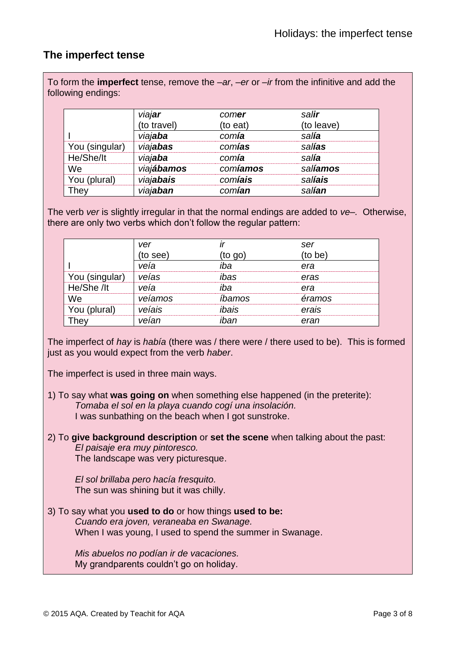## **The imperfect tense**

To form the **imperfect** tense, remove the *–ar*, –*er* or *–ir* from the infinitive and add the following endings:

|                | viajar      | comer    | salir            |
|----------------|-------------|----------|------------------|
|                | (to travel) | (to eat) | (to leave)       |
|                | viajaba     | comía    | salía            |
| You (singular) | viajabas    | comías   | salías           |
| He/She/It      | viajaba     | comía    | sal <b>ía</b>    |
| We             | viajábamos  | comíamos | sal <b>íamos</b> |
| You (plural)   | viajabais   | comíais  | sal <b>íais</b>  |
| They           | viajaban    | comían   | sal <b>ían</b>   |

The verb *ver* is slightly irregular in that the normal endings are added to *ve–.* Otherwise, there are only two verbs which don't follow the regular pattern:

|                | ver      |         | ser     |
|----------------|----------|---------|---------|
|                | (to see) | (to go) | (to be) |
|                | veía     | iha     | era     |
| You (singular) | veías    | ibas    | eras    |
| He/She /lt     | veía     | iha     | era     |
| We             | veíamos  | íbamos  | éramos  |
| You (plural)   | veíais   | ibais   | erais   |
| Thev           | veían    | ihan    | eran    |

The imperfect of *hay* is *había* (there was / there were / there used to be). This is formed just as you would expect from the verb *haber*.

The imperfect is used in three main ways.

- 1) To say what **was going on** when something else happened (in the preterite): *Tomaba el sol en la playa cuando cogí una insolación.* I was sunbathing on the beach when I got sunstroke.
- 2) To **give background description** or **set the scene** when talking about the past: *El paisaje era muy pintoresco.* The landscape was very picturesque.

*El sol brillaba pero hacía fresquito.* The sun was shining but it was chilly.

3) To say what you **used to do** or how things **used to be:** *Cuando era joven, veraneaba en Swanage.* When I was young, I used to spend the summer in Swanage.

*Mis abuelos no podían ir de vacaciones.* My grandparents couldn't go on holiday.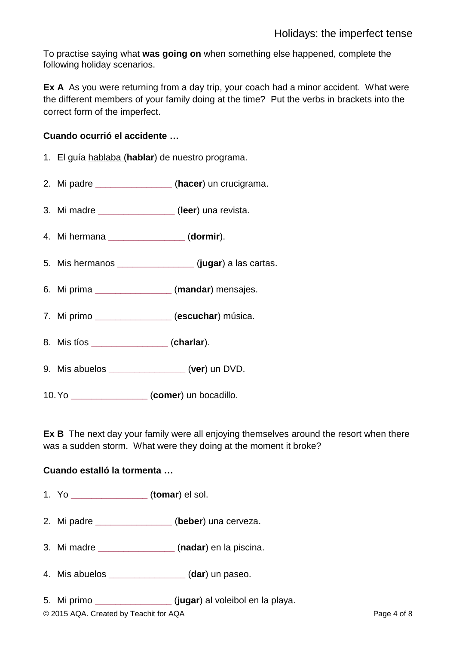To practise saying what **was going on** when something else happened, complete the following holiday scenarios.

**Ex A** As you were returning from a day trip, your coach had a minor accident. What were the different members of your family doing at the time? Put the verbs in brackets into the correct form of the imperfect.

#### **Cuando ocurrió el accidente …**

- 1. El guía hablaba (**hablar**) de nuestro programa.
- 2. Mi padre **\_\_\_\_\_\_\_\_\_\_\_\_\_\_\_** (**hacer**) un crucigrama.
- 3. Mi madre **\_\_\_\_\_\_\_\_\_\_\_\_\_\_\_** (**leer**) una revista.
- 4. Mi hermana **\_\_\_\_\_\_\_\_\_\_\_\_\_\_\_** (**dormir**).
- 5. Mis hermanos **\_\_\_\_\_\_\_\_\_\_\_\_\_\_\_** (**jugar**) a las cartas.
- 6. Mi prima **\_\_\_\_\_\_\_\_\_\_\_\_\_\_\_** (**mandar**) mensajes.
- 7. Mi primo **\_\_\_\_\_\_\_\_\_\_\_\_\_\_\_** (**escuchar**) música.
- 8. Mis tíos **\_\_\_\_\_\_\_\_\_\_\_\_\_\_\_** (**charlar**).
- 9. Mis abuelos **\_\_\_\_\_\_\_\_\_\_\_\_\_\_\_** (**ver**) un DVD.
- 10.Yo **\_\_\_\_\_\_\_\_\_\_\_\_\_\_\_** (**comer**) un bocadillo.

**Ex B** The next day your family were all enjoying themselves around the resort when there was a sudden storm. What were they doing at the moment it broke?

#### **Cuando estalló la tormenta …**

- 1. Yo **\_\_\_\_\_\_\_\_\_\_\_\_\_\_\_** (**tomar**) el sol.
- 2. Mi padre **\_\_\_\_\_\_\_\_\_\_\_\_\_\_\_** (**beber**) una cerveza.
- 3. Mi madre **\_\_\_\_\_\_\_\_\_\_\_\_\_\_\_** (**nadar**) en la piscina.
- 4. Mis abuelos **\_\_\_\_\_\_\_\_\_\_\_\_\_\_\_** (**dar**) un paseo.
- 5. Mi primo **\_\_\_\_\_\_\_\_\_\_\_\_\_\_\_** (**jugar**) al voleibol en la playa.

© 2015 AQA. Created by Teachit for AQA Page 4 of 8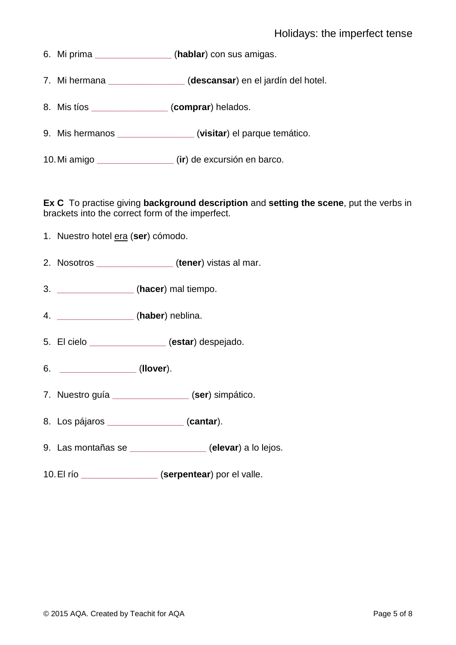- 6. Mi prima **\_\_\_\_\_\_\_\_\_\_\_\_\_\_\_** (**hablar**) con sus amigas.
- 7. Mi hermana **\_\_\_\_\_\_\_\_\_\_\_\_\_\_\_** (**descansar**) en el jardín del hotel.
- 8. Mis tíos **\_\_\_\_\_\_\_\_\_\_\_\_\_\_\_** (**comprar**) helados.
- 9. Mis hermanos **\_\_\_\_\_\_\_\_\_\_\_\_\_\_\_** (**visitar**) el parque temático.
- 10.Mi amigo **\_\_\_\_\_\_\_\_\_\_\_\_\_\_\_** (**ir**) de excursión en barco.

**Ex C** To practise giving **background description** and **setting the scene**, put the verbs in brackets into the correct form of the imperfect.

- 1. Nuestro hotel era (**ser**) cómodo.
- 2. Nosotros **\_\_\_\_\_\_\_\_\_\_\_\_\_\_\_** (**tener**) vistas al mar.
- 3. **\_\_\_\_\_\_\_\_\_\_\_\_\_\_\_** (**hacer**) mal tiempo.
- 4. **\_\_\_\_\_\_\_\_\_\_\_\_\_\_\_** (**haber**) neblina.
- 5. El cielo **\_\_\_\_\_\_\_\_\_\_\_\_\_\_\_** (**estar**) despejado.
- 6. **\_\_\_\_\_\_\_\_\_\_\_\_\_\_\_** (**llover**).
- 7. Nuestro guía **\_\_\_\_\_\_\_\_\_\_\_\_\_\_\_** (**ser**) simpático.
- 8. Los pájaros **\_\_\_\_\_\_\_\_\_\_\_\_\_\_\_** (**cantar**).
- 9. Las montañas se **\_\_\_\_\_\_\_\_\_\_\_\_\_\_\_** (**elevar**) a lo lejos.
- 10.El río **\_\_\_\_\_\_\_\_\_\_\_\_\_\_\_** (**serpentear**) por el valle.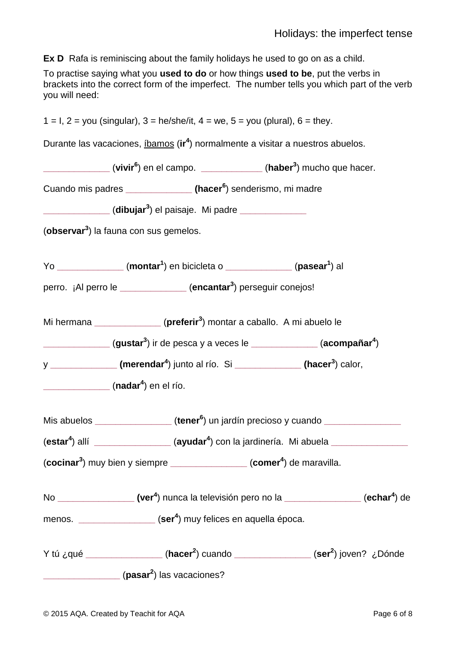**Ex D** Rafa is reminiscing about the family holidays he used to go on as a child.

To practise saying what you **used to do** or how things **used to be**, put the verbs in brackets into the correct form of the imperfect. The number tells you which part of the verb you will need:

|                                                                          | $1 = I$ , $2 = you$ (singular), $3 = he/she/it$ , $4 = we$ , $5 = you$ (plural), $6 = they$ .                                          |                                                                                                                                                                                                                                                                                                                                                                                                                  |
|--------------------------------------------------------------------------|----------------------------------------------------------------------------------------------------------------------------------------|------------------------------------------------------------------------------------------------------------------------------------------------------------------------------------------------------------------------------------------------------------------------------------------------------------------------------------------------------------------------------------------------------------------|
|                                                                          | Durante las vacaciones, <i>ibamos</i> (ir <sup>4</sup> ) normalmente a visitar a nuestros abuelos.                                     |                                                                                                                                                                                                                                                                                                                                                                                                                  |
|                                                                          | ______________ (vivir <sup>6</sup> ) en el campo. _____________ (haber <sup>3</sup> ) mucho que hacer.                                 |                                                                                                                                                                                                                                                                                                                                                                                                                  |
|                                                                          | Cuando mis padres ________________ (hacer <sup>6</sup> ) senderismo, mi madre                                                          |                                                                                                                                                                                                                                                                                                                                                                                                                  |
|                                                                          | ______________ (dibujar <sup>3</sup> ) el paisaje. Mi padre ______________                                                             |                                                                                                                                                                                                                                                                                                                                                                                                                  |
| (observar <sup>3</sup> ) la fauna con sus gemelos.                       |                                                                                                                                        |                                                                                                                                                                                                                                                                                                                                                                                                                  |
|                                                                          | Yo $\frac{1}{\sqrt{1-\frac{1}{2}}}\$ (montar <sup>1</sup> ) en bicicleta o $\frac{1}{\sqrt{1-\frac{1}{2}}}\$ (pasear <sup>1</sup> ) al |                                                                                                                                                                                                                                                                                                                                                                                                                  |
|                                                                          | perro. ¡Al perro le ____________ (encantar <sup>3</sup> ) perseguir conejos!                                                           |                                                                                                                                                                                                                                                                                                                                                                                                                  |
|                                                                          | Mi hermana $\frac{1}{\sqrt{1-\frac{1}{2}}}\left(\text{preferir}^{3}\right)$ montar a caballo. A mi abuelo le                           |                                                                                                                                                                                                                                                                                                                                                                                                                  |
|                                                                          |                                                                                                                                        | (gustar <sup>3</sup> ) ir de pesca y a veces le ____________ (acompañar <sup>4</sup> )                                                                                                                                                                                                                                                                                                                           |
|                                                                          | y ________________ (merendar <sup>4</sup> ) junto al río. Si ______________ (hacer <sup>3</sup> ) calor,                               |                                                                                                                                                                                                                                                                                                                                                                                                                  |
| $\frac{1}{\sqrt{1-\frac{1}{2}}}\left( \text{nadar}^4 \right)$ en el río. |                                                                                                                                        |                                                                                                                                                                                                                                                                                                                                                                                                                  |
|                                                                          |                                                                                                                                        | Mis abuelos ________________ (tener <sup>6</sup> ) un jardín precioso y cuando ______________                                                                                                                                                                                                                                                                                                                    |
|                                                                          |                                                                                                                                        | (estar <sup>4</sup> ) allí ________________(ayudar <sup>4</sup> ) con la jardinería. Mi abuela _______________                                                                                                                                                                                                                                                                                                   |
|                                                                          | $(cocinar3)$ muy bien y siempre __________________(comer <sup>4</sup> ) de maravilla.                                                  |                                                                                                                                                                                                                                                                                                                                                                                                                  |
|                                                                          |                                                                                                                                        | No $\frac{1}{\sqrt{1-\frac{1}{2}}\sqrt{1-\frac{1}{2}}\sqrt{1-\frac{1}{2}}\sqrt{1-\frac{1}{2}}\sqrt{1-\frac{1}{2}}\sqrt{1-\frac{1}{2}}\sqrt{1-\frac{1}{2}}\sqrt{1-\frac{1}{2}}\sqrt{1-\frac{1}{2}}\sqrt{1-\frac{1}{2}}\sqrt{1-\frac{1}{2}}\sqrt{1-\frac{1}{2}}\sqrt{1-\frac{1}{2}}\sqrt{1-\frac{1}{2}}\sqrt{1-\frac{1}{2}}\sqrt{1-\frac{1}{2}}\sqrt{1-\frac{1}{2}}\sqrt{1-\frac{1}{2}}\sqrt{1-\frac{1}{2}}\sqrt{$ |
|                                                                          | menos. _________________ (ser <sup>4</sup> ) muy felices en aquella época.                                                             |                                                                                                                                                                                                                                                                                                                                                                                                                  |
|                                                                          |                                                                                                                                        | Y tú ¿qué __________________(hacer <sup>2</sup> ) cuando _______________(ser <sup>2</sup> ) joven? ¿Dónde                                                                                                                                                                                                                                                                                                        |
| (pasar <sup>2</sup> ) las vacaciones?                                    |                                                                                                                                        |                                                                                                                                                                                                                                                                                                                                                                                                                  |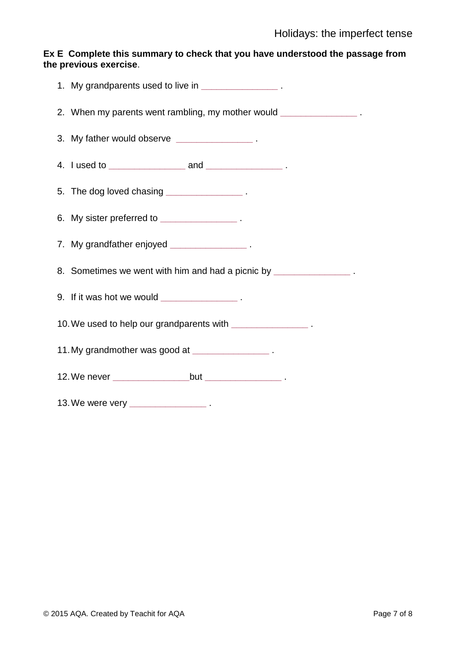#### **Ex E Complete this summary to check that you have understood the passage from the previous exercise**.

| 1. My grandparents used to live in _________________.              |
|--------------------------------------------------------------------|
| 2. When my parents went rambling, my mother would _______________. |
| 3. My father would observe _______________.                        |
|                                                                    |
| 5. The dog loved chasing _______________.                          |
| 6. My sister preferred to ________________.                        |
| 7. My grandfather enjoyed __________________.                      |
| 8. Sometimes we went with him and had a picnic by _______________. |
| 9. If it was hot we would $\frac{1}{2}$ .                          |
| 10. We used to help our grandparents with ________________.        |
| 11. My grandmother was good at ________________.                   |
|                                                                    |
|                                                                    |